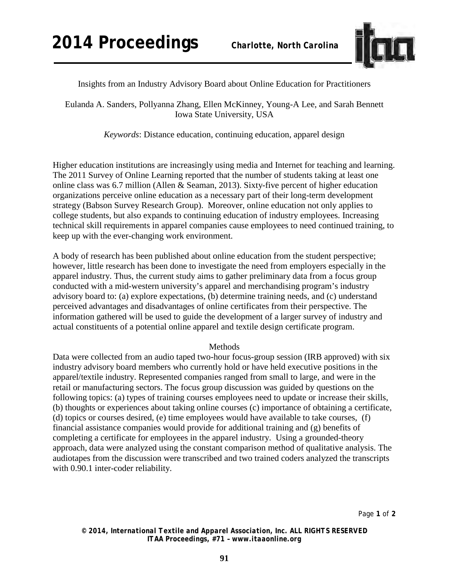

Insights from an Industry Advisory Board about Online Education for Practitioners

Eulanda A. Sanders, Pollyanna Zhang, Ellen McKinney, Young-A Lee, and Sarah Bennett Iowa State University, USA

*Keywords*: Distance education, continuing education, apparel design

Higher education institutions are increasingly using media and Internet for teaching and learning. The 2011 Survey of Online Learning reported that the number of students taking at least one online class was 6.7 million (Allen & Seaman, 2013). Sixty-five percent of higher education organizations perceive online education as a necessary part of their long-term development strategy (Babson Survey Research Group). Moreover, online education not only applies to college students, but also expands to continuing education of industry employees. Increasing technical skill requirements in apparel companies cause employees to need continued training, to keep up with the ever-changing work environment.

A body of research has been published about online education from the student perspective; however, little research has been done to investigate the need from employers especially in the apparel industry. Thus, the current study aims to gather preliminary data from a focus group conducted with a mid-western university's apparel and merchandising program's industry advisory board to: (a) explore expectations, (b) determine training needs, and (c) understand perceived advantages and disadvantages of online certificates from their perspective. The information gathered will be used to guide the development of a larger survey of industry and actual constituents of a potential online apparel and textile design certificate program.

## Methods

Data were collected from an audio taped two-hour focus-group session (IRB approved) with six industry advisory board members who currently hold or have held executive positions in the apparel/textile industry. Represented companies ranged from small to large, and were in the retail or manufacturing sectors. The focus group discussion was guided by questions on the following topics: (a) types of training courses employees need to update or increase their skills, (b) thoughts or experiences about taking online courses (c) importance of obtaining a certificate, (d) topics or courses desired, (e) time employees would have available to take courses, (f) financial assistance companies would provide for additional training and (g) benefits of completing a certificate for employees in the apparel industry. Using a grounded-theory approach, data were analyzed using the constant comparison method of qualitative analysis. The audiotapes from the discussion were transcribed and two trained coders analyzed the transcripts with 0.90.1 inter-coder reliability.

Page **1** of **2**